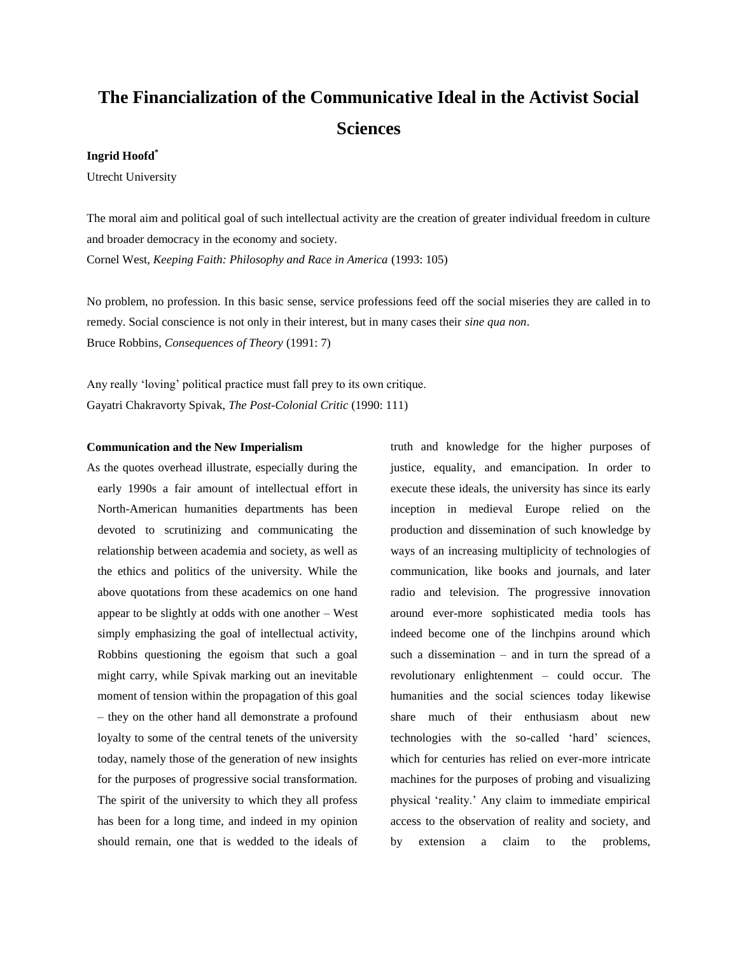# **The Financialization of the Communicative Ideal in the Activist Social Sciences**

### **Ingrid Hoofd\***

Utrecht University

The moral aim and political goal of such intellectual activity are the creation of greater individual freedom in culture and broader democracy in the economy and society. Cornel West, *Keeping Faith: Philosophy and Race in America* (1993: 105)

No problem, no profession. In this basic sense, service professions feed off the social miseries they are called in to remedy. Social conscience is not only in their interest, but in many cases their *sine qua non*. Bruce Robbins, *Consequences of Theory* (1991: 7)

Any really 'loving' political practice must fall prey to its own critique. Gayatri Chakravorty Spivak, *The Post-Colonial Critic* (1990: 111)

#### **Communication and the New Imperialism**

As the quotes overhead illustrate, especially during the early 1990s a fair amount of intellectual effort in North-American humanities departments has been devoted to scrutinizing and communicating the relationship between academia and society, as well as the ethics and politics of the university. While the above quotations from these academics on one hand appear to be slightly at odds with one another – West simply emphasizing the goal of intellectual activity, Robbins questioning the egoism that such a goal might carry, while Spivak marking out an inevitable moment of tension within the propagation of this goal – they on the other hand all demonstrate a profound loyalty to some of the central tenets of the university today, namely those of the generation of new insights for the purposes of progressive social transformation. The spirit of the university to which they all profess has been for a long time, and indeed in my opinion should remain, one that is wedded to the ideals of

truth and knowledge for the higher purposes of justice, equality, and emancipation. In order to execute these ideals, the university has since its early inception in medieval Europe relied on the production and dissemination of such knowledge by ways of an increasing multiplicity of technologies of communication, like books and journals, and later radio and television. The progressive innovation around ever-more sophisticated media tools has indeed become one of the linchpins around which such a dissemination – and in turn the spread of a revolutionary enlightenment – could occur. The humanities and the social sciences today likewise share much of their enthusiasm about new technologies with the so-called 'hard' sciences, which for centuries has relied on ever-more intricate machines for the purposes of probing and visualizing physical 'reality.' Any claim to immediate empirical access to the observation of reality and society, and by extension a claim to the problems,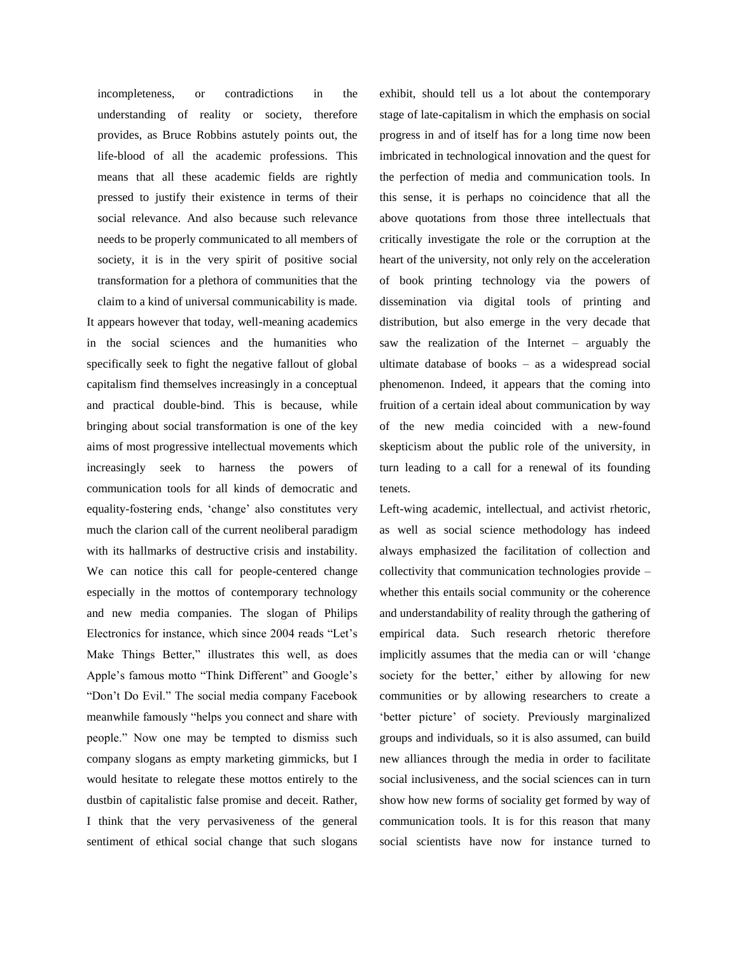incompleteness, or contradictions in the understanding of reality or society, therefore provides, as Bruce Robbins astutely points out, the life-blood of all the academic professions. This means that all these academic fields are rightly pressed to justify their existence in terms of their social relevance. And also because such relevance needs to be properly communicated to all members of society, it is in the very spirit of positive social transformation for a plethora of communities that the claim to a kind of universal communicability is made. It appears however that today, well-meaning academics in the social sciences and the humanities who specifically seek to fight the negative fallout of global capitalism find themselves increasingly in a conceptual and practical double-bind. This is because, while bringing about social transformation is one of the key aims of most progressive intellectual movements which increasingly seek to harness the powers of communication tools for all kinds of democratic and equality-fostering ends, 'change' also constitutes very much the clarion call of the current neoliberal paradigm with its hallmarks of destructive crisis and instability. We can notice this call for people-centered change especially in the mottos of contemporary technology and new media companies. The slogan of Philips Electronics for instance, which since 2004 reads "Let's Make Things Better," illustrates this well, as does Apple's famous motto "Think Different" and Google's "Don't Do Evil." The social media company Facebook meanwhile famously "helps you connect and share with people." Now one may be tempted to dismiss such company slogans as empty marketing gimmicks, but I would hesitate to relegate these mottos entirely to the dustbin of capitalistic false promise and deceit. Rather, I think that the very pervasiveness of the general sentiment of ethical social change that such slogans

exhibit, should tell us a lot about the contemporary stage of late-capitalism in which the emphasis on social progress in and of itself has for a long time now been imbricated in technological innovation and the quest for the perfection of media and communication tools. In this sense, it is perhaps no coincidence that all the above quotations from those three intellectuals that critically investigate the role or the corruption at the heart of the university, not only rely on the acceleration of book printing technology via the powers of dissemination via digital tools of printing and distribution, but also emerge in the very decade that saw the realization of the Internet – arguably the ultimate database of books – as a widespread social phenomenon. Indeed, it appears that the coming into fruition of a certain ideal about communication by way of the new media coincided with a new-found skepticism about the public role of the university, in turn leading to a call for a renewal of its founding tenets.

Left-wing academic, intellectual, and activist rhetoric, as well as social science methodology has indeed always emphasized the facilitation of collection and collectivity that communication technologies provide – whether this entails social community or the coherence and understandability of reality through the gathering of empirical data. Such research rhetoric therefore implicitly assumes that the media can or will 'change society for the better,' either by allowing for new communities or by allowing researchers to create a 'better picture' of society. Previously marginalized groups and individuals, so it is also assumed, can build new alliances through the media in order to facilitate social inclusiveness, and the social sciences can in turn show how new forms of sociality get formed by way of communication tools. It is for this reason that many social scientists have now for instance turned to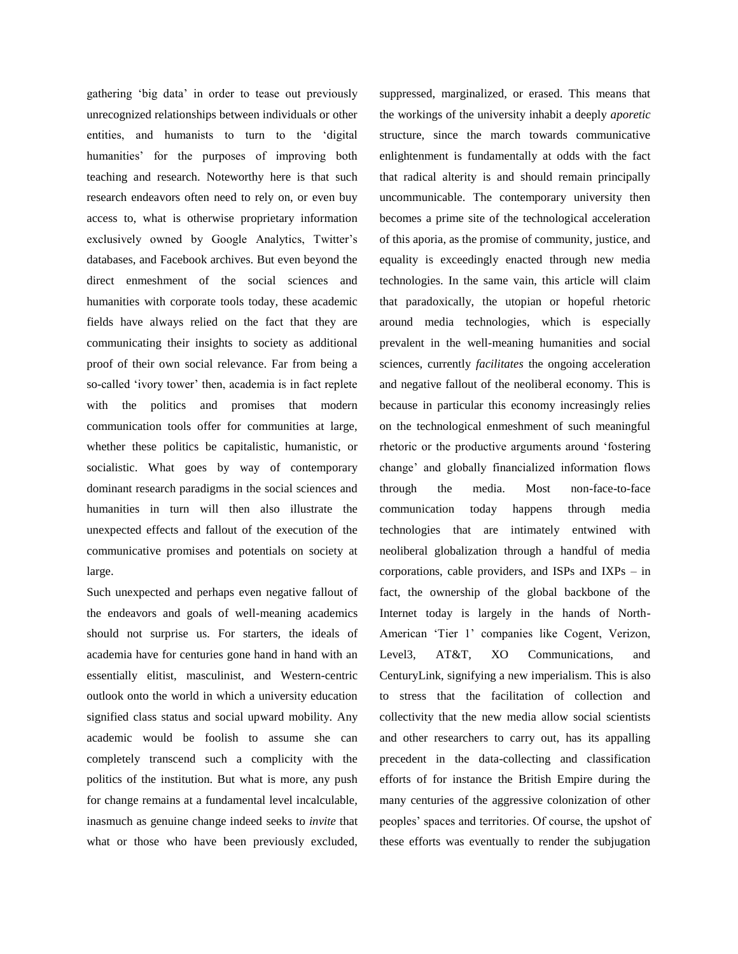gathering 'big data' in order to tease out previously unrecognized relationships between individuals or other entities, and humanists to turn to the 'digital humanities' for the purposes of improving both teaching and research. Noteworthy here is that such research endeavors often need to rely on, or even buy access to, what is otherwise proprietary information exclusively owned by Google Analytics, Twitter's databases, and Facebook archives. But even beyond the direct enmeshment of the social sciences and humanities with corporate tools today, these academic fields have always relied on the fact that they are communicating their insights to society as additional proof of their own social relevance. Far from being a so-called 'ivory tower' then, academia is in fact replete with the politics and promises that modern communication tools offer for communities at large, whether these politics be capitalistic, humanistic, or socialistic. What goes by way of contemporary dominant research paradigms in the social sciences and humanities in turn will then also illustrate the unexpected effects and fallout of the execution of the communicative promises and potentials on society at large.

Such unexpected and perhaps even negative fallout of the endeavors and goals of well-meaning academics should not surprise us. For starters, the ideals of academia have for centuries gone hand in hand with an essentially elitist, masculinist, and Western-centric outlook onto the world in which a university education signified class status and social upward mobility. Any academic would be foolish to assume she can completely transcend such a complicity with the politics of the institution. But what is more, any push for change remains at a fundamental level incalculable, inasmuch as genuine change indeed seeks to *invite* that what or those who have been previously excluded,

suppressed, marginalized, or erased. This means that the workings of the university inhabit a deeply *aporetic* structure, since the march towards communicative enlightenment is fundamentally at odds with the fact that radical alterity is and should remain principally uncommunicable. The contemporary university then becomes a prime site of the technological acceleration of this aporia, as the promise of community, justice, and equality is exceedingly enacted through new media technologies. In the same vain, this article will claim that paradoxically, the utopian or hopeful rhetoric around media technologies, which is especially prevalent in the well-meaning humanities and social sciences, currently *facilitates* the ongoing acceleration and negative fallout of the neoliberal economy. This is because in particular this economy increasingly relies on the technological enmeshment of such meaningful rhetoric or the productive arguments around 'fostering change' and globally financialized information flows through the media. Most non-face-to-face communication today happens through media technologies that are intimately entwined with neoliberal globalization through a handful of media corporations, cable providers, and ISPs and IXPs – in fact, the ownership of the global backbone of the Internet today is largely in the hands of North-American 'Tier 1' companies like Cogent, Verizon, Level3, AT&T, XO Communications, and CenturyLink, signifying a new imperialism. This is also to stress that the facilitation of collection and collectivity that the new media allow social scientists and other researchers to carry out, has its appalling precedent in the data-collecting and classification efforts of for instance the British Empire during the many centuries of the aggressive colonization of other peoples' spaces and territories. Of course, the upshot of these efforts was eventually to render the subjugation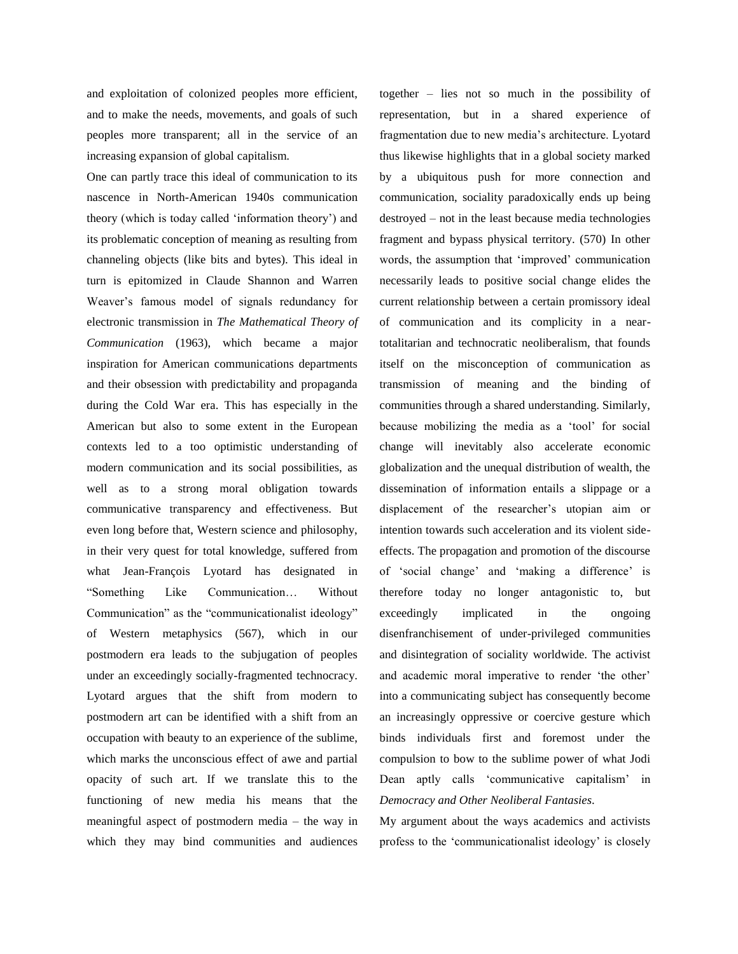and exploitation of colonized peoples more efficient, and to make the needs, movements, and goals of such peoples more transparent; all in the service of an increasing expansion of global capitalism.

One can partly trace this ideal of communication to its nascence in North-American 1940s communication theory (which is today called 'information theory') and its problematic conception of meaning as resulting from channeling objects (like bits and bytes). This ideal in turn is epitomized in Claude Shannon and Warren Weaver's famous model of signals redundancy for electronic transmission in *The Mathematical Theory of Communication* (1963), which became a major inspiration for American communications departments and their obsession with predictability and propaganda during the Cold War era. This has especially in the American but also to some extent in the European contexts led to a too optimistic understanding of modern communication and its social possibilities, as well as to a strong moral obligation towards communicative transparency and effectiveness. But even long before that, Western science and philosophy, in their very quest for total knowledge, suffered from what Jean-François Lyotard has designated in "Something Like Communication… Without Communication" as the "communicationalist ideology" of Western metaphysics (567), which in our postmodern era leads to the subjugation of peoples under an exceedingly socially-fragmented technocracy. Lyotard argues that the shift from modern to postmodern art can be identified with a shift from an occupation with beauty to an experience of the sublime, which marks the unconscious effect of awe and partial opacity of such art. If we translate this to the functioning of new media his means that the meaningful aspect of postmodern media – the way in which they may bind communities and audiences

together – lies not so much in the possibility of representation, but in a shared experience of fragmentation due to new media's architecture. Lyotard thus likewise highlights that in a global society marked by a ubiquitous push for more connection and communication, sociality paradoxically ends up being destroyed – not in the least because media technologies fragment and bypass physical territory. (570) In other words, the assumption that 'improved' communication necessarily leads to positive social change elides the current relationship between a certain promissory ideal of communication and its complicity in a neartotalitarian and technocratic neoliberalism, that founds itself on the misconception of communication as transmission of meaning and the binding of communities through a shared understanding. Similarly, because mobilizing the media as a 'tool' for social change will inevitably also accelerate economic globalization and the unequal distribution of wealth, the dissemination of information entails a slippage or a displacement of the researcher's utopian aim or intention towards such acceleration and its violent sideeffects. The propagation and promotion of the discourse of 'social change' and 'making a difference' is therefore today no longer antagonistic to, but exceedingly implicated in the ongoing disenfranchisement of under-privileged communities and disintegration of sociality worldwide. The activist and academic moral imperative to render 'the other' into a communicating subject has consequently become an increasingly oppressive or coercive gesture which binds individuals first and foremost under the compulsion to bow to the sublime power of what Jodi Dean aptly calls 'communicative capitalism' in *Democracy and Other Neoliberal Fantasies*.

My argument about the ways academics and activists profess to the 'communicationalist ideology' is closely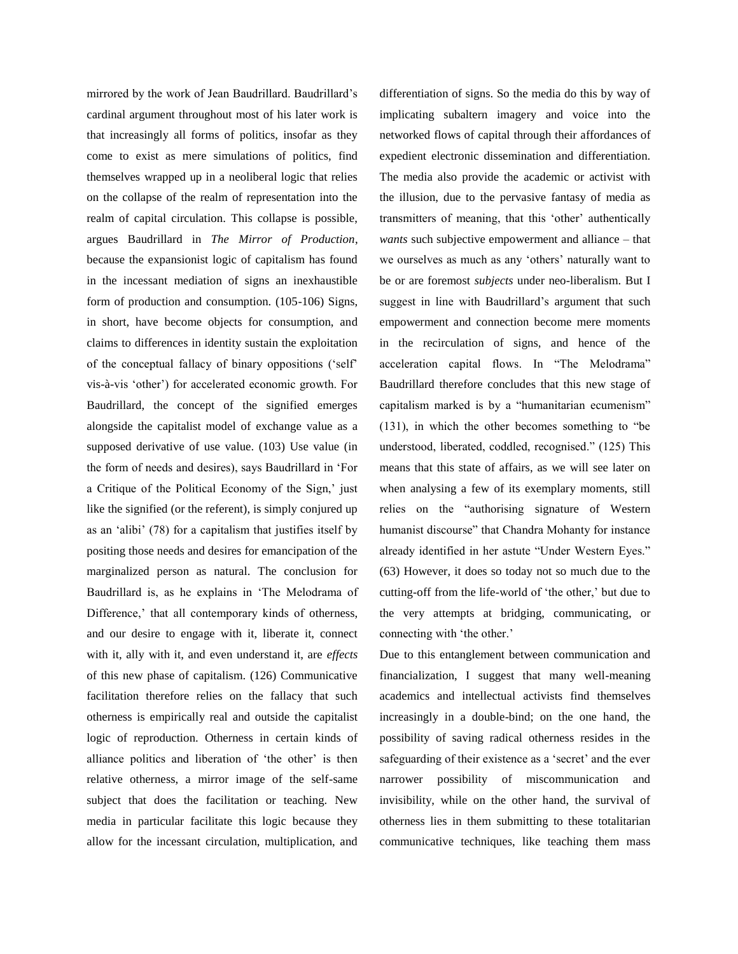mirrored by the work of Jean Baudrillard. Baudrillard's cardinal argument throughout most of his later work is that increasingly all forms of politics, insofar as they come to exist as mere simulations of politics, find themselves wrapped up in a neoliberal logic that relies on the collapse of the realm of representation into the realm of capital circulation. This collapse is possible, argues Baudrillard in *The Mirror of Production*, because the expansionist logic of capitalism has found in the incessant mediation of signs an inexhaustible form of production and consumption. (105-106) Signs, in short, have become objects for consumption, and claims to differences in identity sustain the exploitation of the conceptual fallacy of binary oppositions ('self' vis-à-vis 'other') for accelerated economic growth. For Baudrillard, the concept of the signified emerges alongside the capitalist model of exchange value as a supposed derivative of use value. (103) Use value (in the form of needs and desires), says Baudrillard in 'For a Critique of the Political Economy of the Sign,' just like the signified (or the referent), is simply conjured up as an 'alibi' (78) for a capitalism that justifies itself by positing those needs and desires for emancipation of the marginalized person as natural. The conclusion for Baudrillard is, as he explains in 'The Melodrama of Difference,' that all contemporary kinds of otherness, and our desire to engage with it, liberate it, connect with it, ally with it, and even understand it, are *effects* of this new phase of capitalism. (126) Communicative facilitation therefore relies on the fallacy that such otherness is empirically real and outside the capitalist logic of reproduction. Otherness in certain kinds of alliance politics and liberation of 'the other' is then relative otherness, a mirror image of the self-same subject that does the facilitation or teaching. New media in particular facilitate this logic because they allow for the incessant circulation, multiplication, and

differentiation of signs. So the media do this by way of implicating subaltern imagery and voice into the networked flows of capital through their affordances of expedient electronic dissemination and differentiation. The media also provide the academic or activist with the illusion, due to the pervasive fantasy of media as transmitters of meaning, that this 'other' authentically *wants* such subjective empowerment and alliance – that we ourselves as much as any 'others' naturally want to be or are foremost *subjects* under neo-liberalism. But I suggest in line with Baudrillard's argument that such empowerment and connection become mere moments in the recirculation of signs, and hence of the acceleration capital flows. In "The Melodrama" Baudrillard therefore concludes that this new stage of capitalism marked is by a "humanitarian ecumenism" (131), in which the other becomes something to "be understood, liberated, coddled, recognised." (125) This means that this state of affairs, as we will see later on when analysing a few of its exemplary moments, still relies on the "authorising signature of Western humanist discourse" that Chandra Mohanty for instance already identified in her astute "Under Western Eyes." (63) However, it does so today not so much due to the cutting-off from the life-world of 'the other,' but due to the very attempts at bridging, communicating, or connecting with 'the other.'

Due to this entanglement between communication and financialization, I suggest that many well-meaning academics and intellectual activists find themselves increasingly in a double-bind; on the one hand, the possibility of saving radical otherness resides in the safeguarding of their existence as a 'secret' and the ever narrower possibility of miscommunication and invisibility, while on the other hand, the survival of otherness lies in them submitting to these totalitarian communicative techniques, like teaching them mass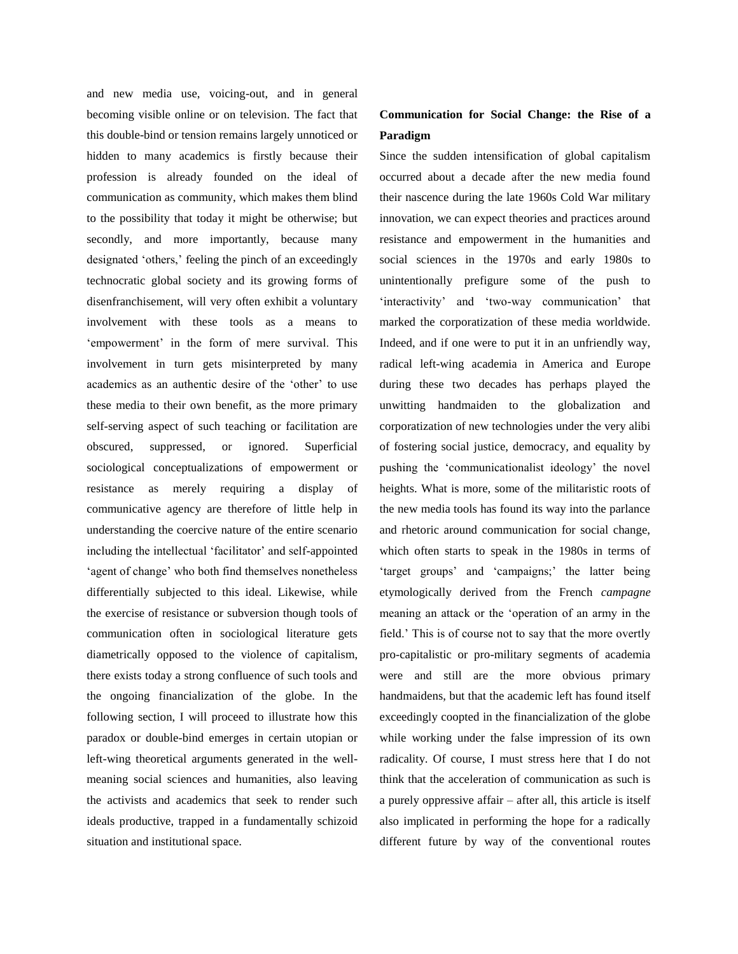and new media use, voicing-out, and in general becoming visible online or on television. The fact that this double-bind or tension remains largely unnoticed or hidden to many academics is firstly because their profession is already founded on the ideal of communication as community, which makes them blind to the possibility that today it might be otherwise; but secondly, and more importantly, because many designated 'others,' feeling the pinch of an exceedingly technocratic global society and its growing forms of disenfranchisement, will very often exhibit a voluntary involvement with these tools as a means to 'empowerment' in the form of mere survival. This involvement in turn gets misinterpreted by many academics as an authentic desire of the 'other' to use these media to their own benefit, as the more primary self-serving aspect of such teaching or facilitation are obscured, suppressed, or ignored. Superficial sociological conceptualizations of empowerment or resistance as merely requiring a display of communicative agency are therefore of little help in understanding the coercive nature of the entire scenario including the intellectual 'facilitator' and self-appointed 'agent of change' who both find themselves nonetheless differentially subjected to this ideal. Likewise, while the exercise of resistance or subversion though tools of communication often in sociological literature gets diametrically opposed to the violence of capitalism, there exists today a strong confluence of such tools and the ongoing financialization of the globe. In the following section, I will proceed to illustrate how this paradox or double-bind emerges in certain utopian or left-wing theoretical arguments generated in the wellmeaning social sciences and humanities, also leaving the activists and academics that seek to render such ideals productive, trapped in a fundamentally schizoid situation and institutional space.

### **Communication for Social Change: the Rise of a Paradigm**

Since the sudden intensification of global capitalism occurred about a decade after the new media found their nascence during the late 1960s Cold War military innovation, we can expect theories and practices around resistance and empowerment in the humanities and social sciences in the 1970s and early 1980s to unintentionally prefigure some of the push to 'interactivity' and 'two-way communication' that marked the corporatization of these media worldwide. Indeed, and if one were to put it in an unfriendly way, radical left-wing academia in America and Europe during these two decades has perhaps played the unwitting handmaiden to the globalization and corporatization of new technologies under the very alibi of fostering social justice, democracy, and equality by pushing the 'communicationalist ideology' the novel heights. What is more, some of the militaristic roots of the new media tools has found its way into the parlance and rhetoric around communication for social change, which often starts to speak in the 1980s in terms of 'target groups' and 'campaigns;' the latter being etymologically derived from the French *campagne* meaning an attack or the 'operation of an army in the field.' This is of course not to say that the more overtly pro-capitalistic or pro-military segments of academia were and still are the more obvious primary handmaidens, but that the academic left has found itself exceedingly coopted in the financialization of the globe while working under the false impression of its own radicality. Of course, I must stress here that I do not think that the acceleration of communication as such is a purely oppressive affair – after all, this article is itself also implicated in performing the hope for a radically different future by way of the conventional routes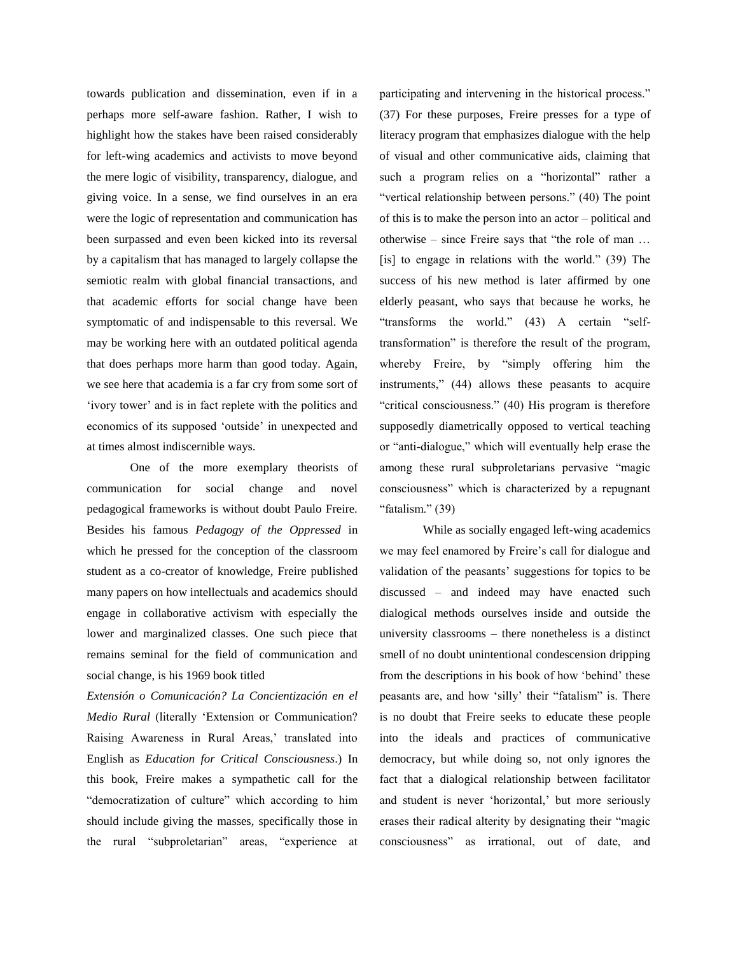towards publication and dissemination, even if in a perhaps more self-aware fashion. Rather, I wish to highlight how the stakes have been raised considerably for left-wing academics and activists to move beyond the mere logic of visibility, transparency, dialogue, and giving voice. In a sense, we find ourselves in an era were the logic of representation and communication has been surpassed and even been kicked into its reversal by a capitalism that has managed to largely collapse the semiotic realm with global financial transactions, and that academic efforts for social change have been symptomatic of and indispensable to this reversal. We may be working here with an outdated political agenda that does perhaps more harm than good today. Again, we see here that academia is a far cry from some sort of 'ivory tower' and is in fact replete with the politics and economics of its supposed 'outside' in unexpected and at times almost indiscernible ways.

One of the more exemplary theorists of communication for social change and novel pedagogical frameworks is without doubt Paulo Freire. Besides his famous *Pedagogy of the Oppressed* in which he pressed for the conception of the classroom student as a co-creator of knowledge, Freire published many papers on how intellectuals and academics should engage in collaborative activism with especially the lower and marginalized classes. One such piece that remains seminal for the field of communication and social change, is his 1969 book titled

*Extensión o Comunicación? La Concientización en el Medio Rural* (literally 'Extension or Communication? Raising Awareness in Rural Areas,' translated into English as *Education for Critical Consciousness*.) In this book, Freire makes a sympathetic call for the "democratization of culture" which according to him should include giving the masses, specifically those in the rural "subproletarian" areas, "experience at

participating and intervening in the historical process." (37) For these purposes, Freire presses for a type of literacy program that emphasizes dialogue with the help of visual and other communicative aids, claiming that such a program relies on a "horizontal" rather a "vertical relationship between persons." (40) The point of this is to make the person into an actor – political and otherwise – since Freire says that "the role of man … [is] to engage in relations with the world." (39) The success of his new method is later affirmed by one elderly peasant, who says that because he works, he "transforms the world." (43) A certain "selftransformation" is therefore the result of the program, whereby Freire, by "simply offering him the instruments," (44) allows these peasants to acquire "critical consciousness." (40) His program is therefore supposedly diametrically opposed to vertical teaching or "anti-dialogue," which will eventually help erase the among these rural subproletarians pervasive "magic consciousness" which is characterized by a repugnant "fatalism." (39)

While as socially engaged left-wing academics we may feel enamored by Freire's call for dialogue and validation of the peasants' suggestions for topics to be discussed – and indeed may have enacted such dialogical methods ourselves inside and outside the university classrooms – there nonetheless is a distinct smell of no doubt unintentional condescension dripping from the descriptions in his book of how 'behind' these peasants are, and how 'silly' their "fatalism" is. There is no doubt that Freire seeks to educate these people into the ideals and practices of communicative democracy, but while doing so, not only ignores the fact that a dialogical relationship between facilitator and student is never 'horizontal,' but more seriously erases their radical alterity by designating their "magic consciousness" as irrational, out of date, and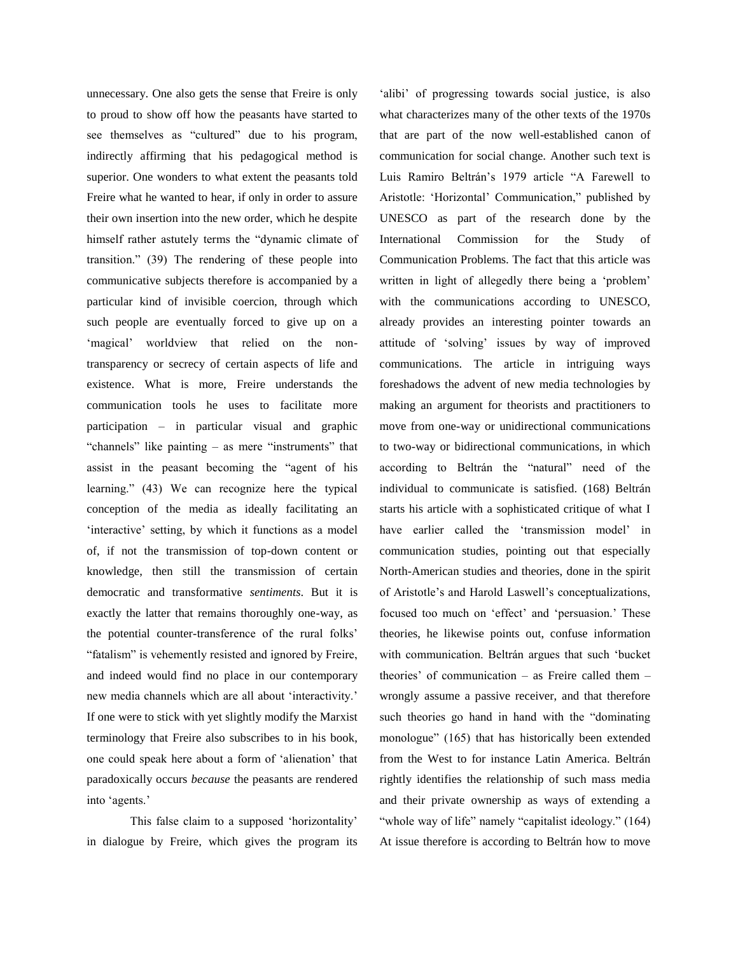unnecessary. One also gets the sense that Freire is only to proud to show off how the peasants have started to see themselves as "cultured" due to his program, indirectly affirming that his pedagogical method is superior. One wonders to what extent the peasants told Freire what he wanted to hear, if only in order to assure their own insertion into the new order, which he despite himself rather astutely terms the "dynamic climate of transition." (39) The rendering of these people into communicative subjects therefore is accompanied by a particular kind of invisible coercion, through which such people are eventually forced to give up on a 'magical' worldview that relied on the nontransparency or secrecy of certain aspects of life and existence. What is more, Freire understands the communication tools he uses to facilitate more participation – in particular visual and graphic "channels" like painting – as mere "instruments" that assist in the peasant becoming the "agent of his learning." (43) We can recognize here the typical conception of the media as ideally facilitating an 'interactive' setting, by which it functions as a model of, if not the transmission of top-down content or knowledge, then still the transmission of certain democratic and transformative *sentiments*. But it is exactly the latter that remains thoroughly one-way, as the potential counter-transference of the rural folks' "fatalism" is vehemently resisted and ignored by Freire, and indeed would find no place in our contemporary new media channels which are all about 'interactivity.' If one were to stick with yet slightly modify the Marxist terminology that Freire also subscribes to in his book, one could speak here about a form of 'alienation' that paradoxically occurs *because* the peasants are rendered into 'agents.'

This false claim to a supposed 'horizontality' in dialogue by Freire, which gives the program its

'alibi' of progressing towards social justice, is also what characterizes many of the other texts of the 1970s that are part of the now well-established canon of communication for social change. Another such text is Luis Ramiro Beltrán's 1979 article "A Farewell to Aristotle: 'Horizontal' Communication," published by UNESCO as part of the research done by the International Commission for the Study of Communication Problems. The fact that this article was written in light of allegedly there being a 'problem' with the communications according to UNESCO, already provides an interesting pointer towards an attitude of 'solving' issues by way of improved communications. The article in intriguing ways foreshadows the advent of new media technologies by making an argument for theorists and practitioners to move from one-way or unidirectional communications to two-way or bidirectional communications, in which according to Beltrán the "natural" need of the individual to communicate is satisfied. (168) Beltrán starts his article with a sophisticated critique of what I have earlier called the 'transmission model' in communication studies, pointing out that especially North-American studies and theories, done in the spirit of Aristotle's and Harold Laswell's conceptualizations, focused too much on 'effect' and 'persuasion.' These theories, he likewise points out, confuse information with communication. Beltrán argues that such 'bucket theories' of communication – as Freire called them – wrongly assume a passive receiver, and that therefore such theories go hand in hand with the "dominating monologue" (165) that has historically been extended from the West to for instance Latin America. Beltrán rightly identifies the relationship of such mass media and their private ownership as ways of extending a "whole way of life" namely "capitalist ideology." (164) At issue therefore is according to Beltrán how to move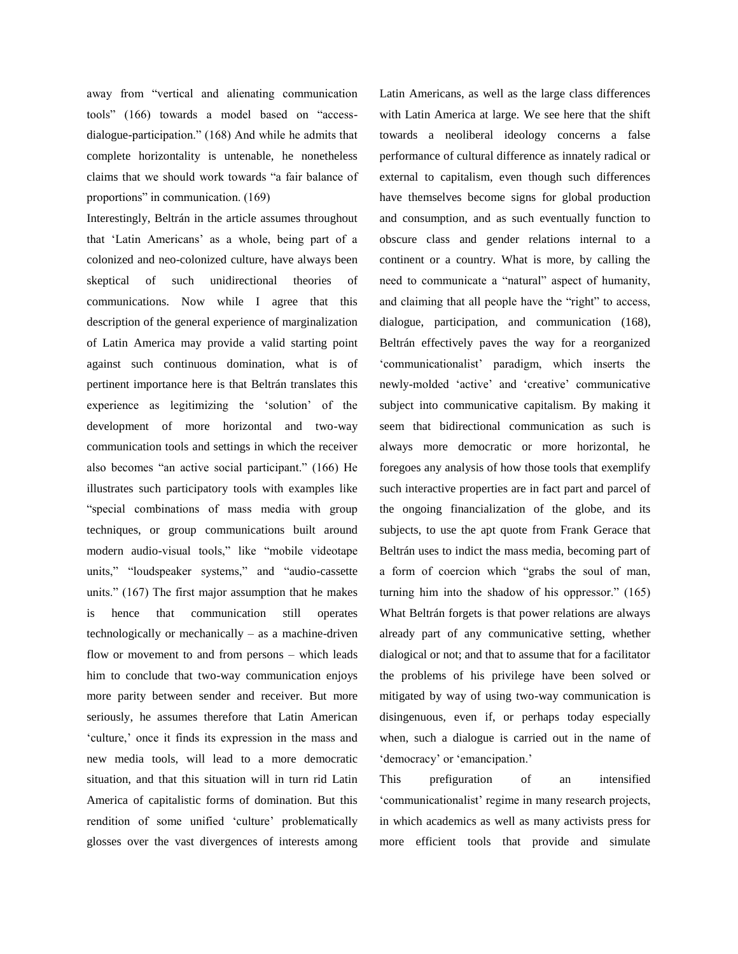away from "vertical and alienating communication tools" (166) towards a model based on "accessdialogue-participation." (168) And while he admits that complete horizontality is untenable, he nonetheless claims that we should work towards "a fair balance of proportions" in communication. (169)

Interestingly, Beltrán in the article assumes throughout that 'Latin Americans' as a whole, being part of a colonized and neo-colonized culture, have always been skeptical of such unidirectional theories of communications. Now while I agree that this description of the general experience of marginalization of Latin America may provide a valid starting point against such continuous domination, what is of pertinent importance here is that Beltrán translates this experience as legitimizing the 'solution' of the development of more horizontal and two-way communication tools and settings in which the receiver also becomes "an active social participant." (166) He illustrates such participatory tools with examples like "special combinations of mass media with group techniques, or group communications built around modern audio-visual tools," like "mobile videotape units," "loudspeaker systems," and "audio-cassette units." (167) The first major assumption that he makes is hence that communication still operates technologically or mechanically – as a machine-driven flow or movement to and from persons – which leads him to conclude that two-way communication enjoys more parity between sender and receiver. But more seriously, he assumes therefore that Latin American 'culture,' once it finds its expression in the mass and new media tools, will lead to a more democratic situation, and that this situation will in turn rid Latin America of capitalistic forms of domination. But this rendition of some unified 'culture' problematically glosses over the vast divergences of interests among Latin Americans, as well as the large class differences with Latin America at large. We see here that the shift towards a neoliberal ideology concerns a false performance of cultural difference as innately radical or external to capitalism, even though such differences have themselves become signs for global production and consumption, and as such eventually function to obscure class and gender relations internal to a continent or a country. What is more, by calling the need to communicate a "natural" aspect of humanity, and claiming that all people have the "right" to access, dialogue, participation, and communication (168), Beltrán effectively paves the way for a reorganized 'communicationalist' paradigm, which inserts the newly-molded 'active' and 'creative' communicative subject into communicative capitalism. By making it seem that bidirectional communication as such is always more democratic or more horizontal, he foregoes any analysis of how those tools that exemplify such interactive properties are in fact part and parcel of the ongoing financialization of the globe, and its subjects, to use the apt quote from Frank Gerace that Beltrán uses to indict the mass media, becoming part of a form of coercion which "grabs the soul of man, turning him into the shadow of his oppressor." (165) What Beltrán forgets is that power relations are always already part of any communicative setting, whether dialogical or not; and that to assume that for a facilitator the problems of his privilege have been solved or mitigated by way of using two-way communication is disingenuous, even if, or perhaps today especially when, such a dialogue is carried out in the name of 'democracy' or 'emancipation.'

This prefiguration of an intensified 'communicationalist' regime in many research projects, in which academics as well as many activists press for more efficient tools that provide and simulate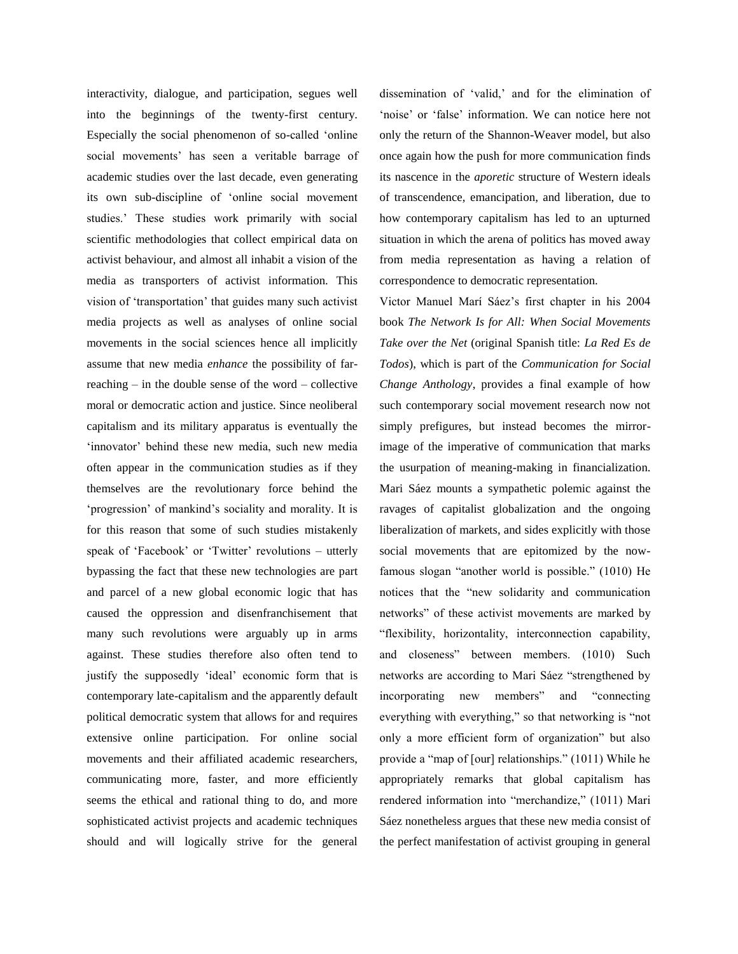interactivity, dialogue, and participation, segues well into the beginnings of the twenty-first century. Especially the social phenomenon of so-called 'online social movements' has seen a veritable barrage of academic studies over the last decade, even generating its own sub-discipline of 'online social movement studies.' These studies work primarily with social scientific methodologies that collect empirical data on activist behaviour, and almost all inhabit a vision of the media as transporters of activist information. This vision of 'transportation' that guides many such activist media projects as well as analyses of online social movements in the social sciences hence all implicitly assume that new media *enhance* the possibility of farreaching – in the double sense of the word – collective moral or democratic action and justice. Since neoliberal capitalism and its military apparatus is eventually the 'innovator' behind these new media, such new media often appear in the communication studies as if they themselves are the revolutionary force behind the 'progression' of mankind's sociality and morality. It is for this reason that some of such studies mistakenly speak of 'Facebook' or 'Twitter' revolutions – utterly bypassing the fact that these new technologies are part and parcel of a new global economic logic that has caused the oppression and disenfranchisement that many such revolutions were arguably up in arms against. These studies therefore also often tend to justify the supposedly 'ideal' economic form that is contemporary late-capitalism and the apparently default political democratic system that allows for and requires extensive online participation. For online social movements and their affiliated academic researchers, communicating more, faster, and more efficiently seems the ethical and rational thing to do, and more sophisticated activist projects and academic techniques should and will logically strive for the general

dissemination of 'valid,' and for the elimination of 'noise' or 'false' information. We can notice here not only the return of the Shannon-Weaver model, but also once again how the push for more communication finds its nascence in the *aporetic* structure of Western ideals of transcendence, emancipation, and liberation, due to how contemporary capitalism has led to an upturned situation in which the arena of politics has moved away from media representation as having a relation of correspondence to democratic representation.

Victor Manuel Marí Sáez's first chapter in his 2004 book *The Network Is for All: When Social Movements Take over the Net* (original Spanish title: *La Red Es de Todos*), which is part of the *Communication for Social Change Anthology*, provides a final example of how such contemporary social movement research now not simply prefigures, but instead becomes the mirrorimage of the imperative of communication that marks the usurpation of meaning-making in financialization. Mari Sáez mounts a sympathetic polemic against the ravages of capitalist globalization and the ongoing liberalization of markets, and sides explicitly with those social movements that are epitomized by the nowfamous slogan "another world is possible." (1010) He notices that the "new solidarity and communication networks" of these activist movements are marked by "flexibility, horizontality, interconnection capability, and closeness" between members. (1010) Such networks are according to Mari Sáez "strengthened by incorporating new members" and "connecting everything with everything," so that networking is "not only a more efficient form of organization" but also provide a "map of [our] relationships." (1011) While he appropriately remarks that global capitalism has rendered information into "merchandize," (1011) Mari Sáez nonetheless argues that these new media consist of the perfect manifestation of activist grouping in general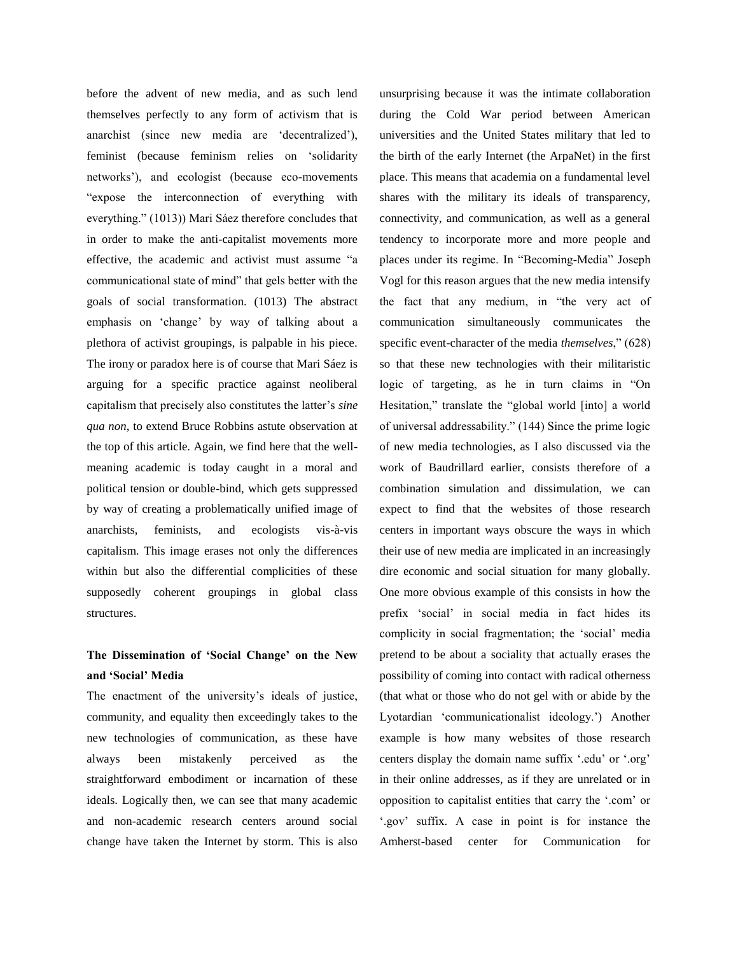before the advent of new media, and as such lend themselves perfectly to any form of activism that is anarchist (since new media are 'decentralized'), feminist (because feminism relies on 'solidarity networks'), and ecologist (because eco-movements "expose the interconnection of everything with everything." (1013)) Mari Sáez therefore concludes that in order to make the anti-capitalist movements more effective, the academic and activist must assume "a communicational state of mind" that gels better with the goals of social transformation. (1013) The abstract emphasis on 'change' by way of talking about a plethora of activist groupings, is palpable in his piece. The irony or paradox here is of course that Mari Sáez is arguing for a specific practice against neoliberal capitalism that precisely also constitutes the latter's *sine qua non*, to extend Bruce Robbins astute observation at the top of this article. Again, we find here that the wellmeaning academic is today caught in a moral and political tension or double-bind, which gets suppressed by way of creating a problematically unified image of anarchists, feminists, and ecologists vis-à-vis capitalism. This image erases not only the differences within but also the differential complicities of these supposedly coherent groupings in global class structures.

## **The Dissemination of 'Social Change' on the New and 'Social' Media**

The enactment of the university's ideals of justice, community, and equality then exceedingly takes to the new technologies of communication, as these have always been mistakenly perceived as the straightforward embodiment or incarnation of these ideals. Logically then, we can see that many academic and non-academic research centers around social change have taken the Internet by storm. This is also

unsurprising because it was the intimate collaboration during the Cold War period between American universities and the United States military that led to the birth of the early Internet (the ArpaNet) in the first place. This means that academia on a fundamental level shares with the military its ideals of transparency, connectivity, and communication, as well as a general tendency to incorporate more and more people and places under its regime. In "Becoming-Media" Joseph Vogl for this reason argues that the new media intensify the fact that any medium, in "the very act of communication simultaneously communicates the specific event-character of the media *themselves*," (628) so that these new technologies with their militaristic logic of targeting, as he in turn claims in "On Hesitation," translate the "global world [into] a world of universal addressability." (144) Since the prime logic of new media technologies, as I also discussed via the work of Baudrillard earlier, consists therefore of a combination simulation and dissimulation, we can expect to find that the websites of those research centers in important ways obscure the ways in which their use of new media are implicated in an increasingly dire economic and social situation for many globally. One more obvious example of this consists in how the prefix 'social' in social media in fact hides its complicity in social fragmentation; the 'social' media pretend to be about a sociality that actually erases the possibility of coming into contact with radical otherness (that what or those who do not gel with or abide by the Lyotardian 'communicationalist ideology.') Another example is how many websites of those research centers display the domain name suffix '.edu' or '.org' in their online addresses, as if they are unrelated or in opposition to capitalist entities that carry the '.com' or '.gov' suffix. A case in point is for instance the Amherst-based center for Communication for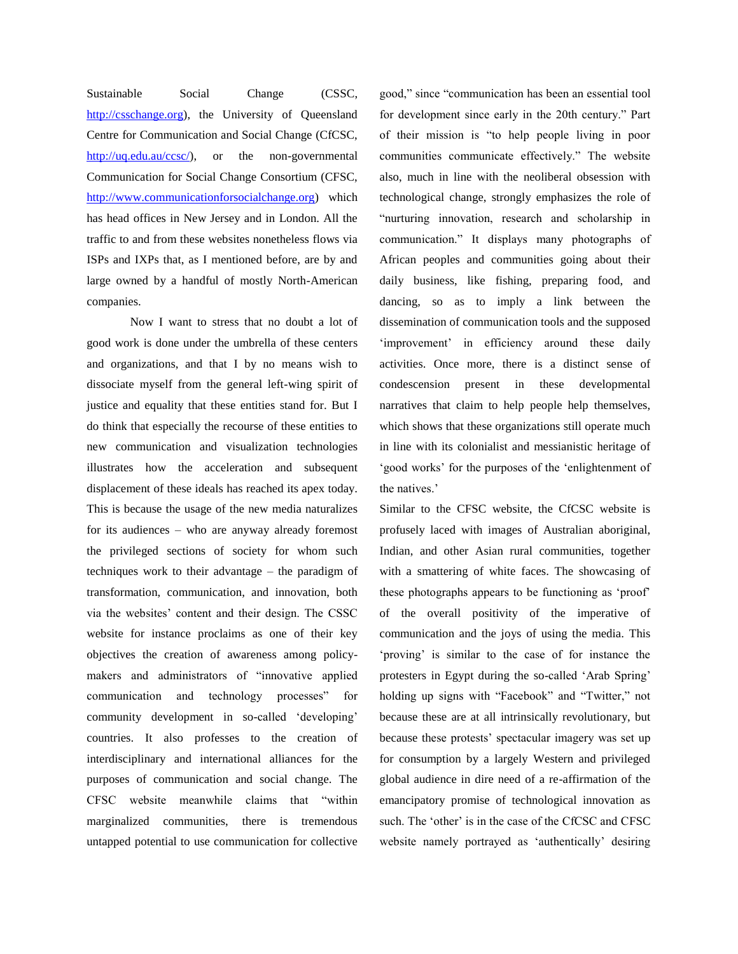Sustainable Social Change (CSSC, [http://csschange.org\)](http://csschange.org/), the University of Queensland Centre for Communication and Social Change (CfCSC, [http://uq.edu.au/ccsc/\)](http://uq.edu.au/ccsc/), or the non-governmental Communication for Social Change Consortium (CFSC, [http://www.communicationforsocialchange.org\)](http://www.communicationforsocialchange.org/) which has head offices in New Jersey and in London. All the traffic to and from these websites nonetheless flows via ISPs and IXPs that, as I mentioned before, are by and large owned by a handful of mostly North-American companies.

Now I want to stress that no doubt a lot of good work is done under the umbrella of these centers and organizations, and that I by no means wish to dissociate myself from the general left-wing spirit of justice and equality that these entities stand for. But I do think that especially the recourse of these entities to new communication and visualization technologies illustrates how the acceleration and subsequent displacement of these ideals has reached its apex today. This is because the usage of the new media naturalizes for its audiences – who are anyway already foremost the privileged sections of society for whom such techniques work to their advantage – the paradigm of transformation, communication, and innovation, both via the websites' content and their design. The CSSC website for instance proclaims as one of their key objectives the creation of awareness among policymakers and administrators of "innovative applied communication and technology processes" for community development in so-called 'developing' countries. It also professes to the creation of interdisciplinary and international alliances for the purposes of communication and social change. The CFSC website meanwhile claims that "within marginalized communities, there is tremendous untapped potential to use communication for collective good," since "communication has been an essential tool for development since early in the 20th century." Part of their mission is "to help people living in poor communities communicate effectively." The website also, much in line with the neoliberal obsession with technological change, strongly emphasizes the role of "nurturing innovation, research and scholarship in communication." It displays many photographs of African peoples and communities going about their daily business, like fishing, preparing food, and dancing, so as to imply a link between the dissemination of communication tools and the supposed 'improvement' in efficiency around these daily activities. Once more, there is a distinct sense of condescension present in these developmental narratives that claim to help people help themselves, which shows that these organizations still operate much in line with its colonialist and messianistic heritage of 'good works' for the purposes of the 'enlightenment of the natives.'

Similar to the CFSC website, the CfCSC website is profusely laced with images of Australian aboriginal, Indian, and other Asian rural communities, together with a smattering of white faces. The showcasing of these photographs appears to be functioning as 'proof' of the overall positivity of the imperative of communication and the joys of using the media. This 'proving' is similar to the case of for instance the protesters in Egypt during the so-called 'Arab Spring' holding up signs with "Facebook" and "Twitter," not because these are at all intrinsically revolutionary, but because these protests' spectacular imagery was set up for consumption by a largely Western and privileged global audience in dire need of a re-affirmation of the emancipatory promise of technological innovation as such. The 'other' is in the case of the CfCSC and CFSC website namely portrayed as 'authentically' desiring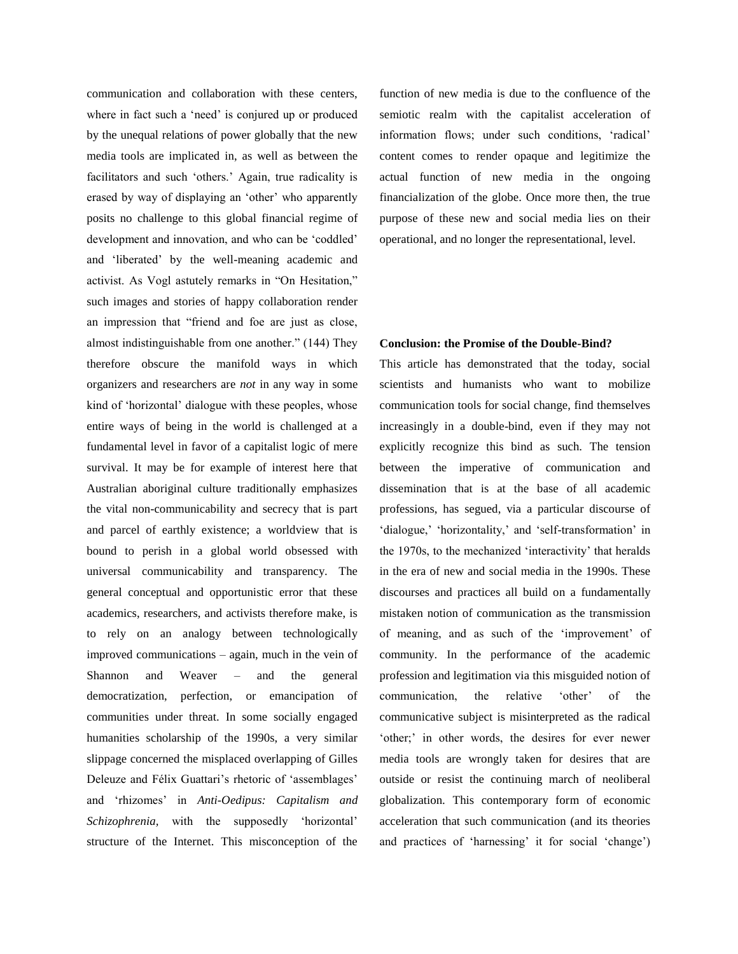communication and collaboration with these centers, where in fact such a 'need' is conjured up or produced by the unequal relations of power globally that the new media tools are implicated in, as well as between the facilitators and such 'others.' Again, true radicality is erased by way of displaying an 'other' who apparently posits no challenge to this global financial regime of development and innovation, and who can be 'coddled' and 'liberated' by the well-meaning academic and activist. As Vogl astutely remarks in "On Hesitation," such images and stories of happy collaboration render an impression that "friend and foe are just as close, almost indistinguishable from one another." (144) They therefore obscure the manifold ways in which organizers and researchers are *not* in any way in some kind of 'horizontal' dialogue with these peoples, whose entire ways of being in the world is challenged at a fundamental level in favor of a capitalist logic of mere survival. It may be for example of interest here that Australian aboriginal culture traditionally emphasizes the vital non-communicability and secrecy that is part and parcel of earthly existence; a worldview that is bound to perish in a global world obsessed with universal communicability and transparency. The general conceptual and opportunistic error that these academics, researchers, and activists therefore make, is to rely on an analogy between technologically improved communications – again, much in the vein of Shannon and Weaver – and the general democratization, perfection, or emancipation of communities under threat. In some socially engaged humanities scholarship of the 1990s, a very similar slippage concerned the misplaced overlapping of Gilles Deleuze and Félix Guattari's rhetoric of 'assemblages' and 'rhizomes' in *Anti-Oedipus: Capitalism and Schizophrenia,* with the supposedly 'horizontal' structure of the Internet. This misconception of the

function of new media is due to the confluence of the semiotic realm with the capitalist acceleration of information flows; under such conditions, 'radical' content comes to render opaque and legitimize the actual function of new media in the ongoing financialization of the globe. Once more then, the true purpose of these new and social media lies on their operational, and no longer the representational, level.

#### **Conclusion: the Promise of the Double-Bind?**

This article has demonstrated that the today, social scientists and humanists who want to mobilize communication tools for social change, find themselves increasingly in a double-bind, even if they may not explicitly recognize this bind as such. The tension between the imperative of communication and dissemination that is at the base of all academic professions, has segued, via a particular discourse of 'dialogue,' 'horizontality,' and 'self-transformation' in the 1970s, to the mechanized 'interactivity' that heralds in the era of new and social media in the 1990s. These discourses and practices all build on a fundamentally mistaken notion of communication as the transmission of meaning, and as such of the 'improvement' of community. In the performance of the academic profession and legitimation via this misguided notion of communication, the relative 'other' of the communicative subject is misinterpreted as the radical 'other;' in other words, the desires for ever newer media tools are wrongly taken for desires that are outside or resist the continuing march of neoliberal globalization. This contemporary form of economic acceleration that such communication (and its theories and practices of 'harnessing' it for social 'change')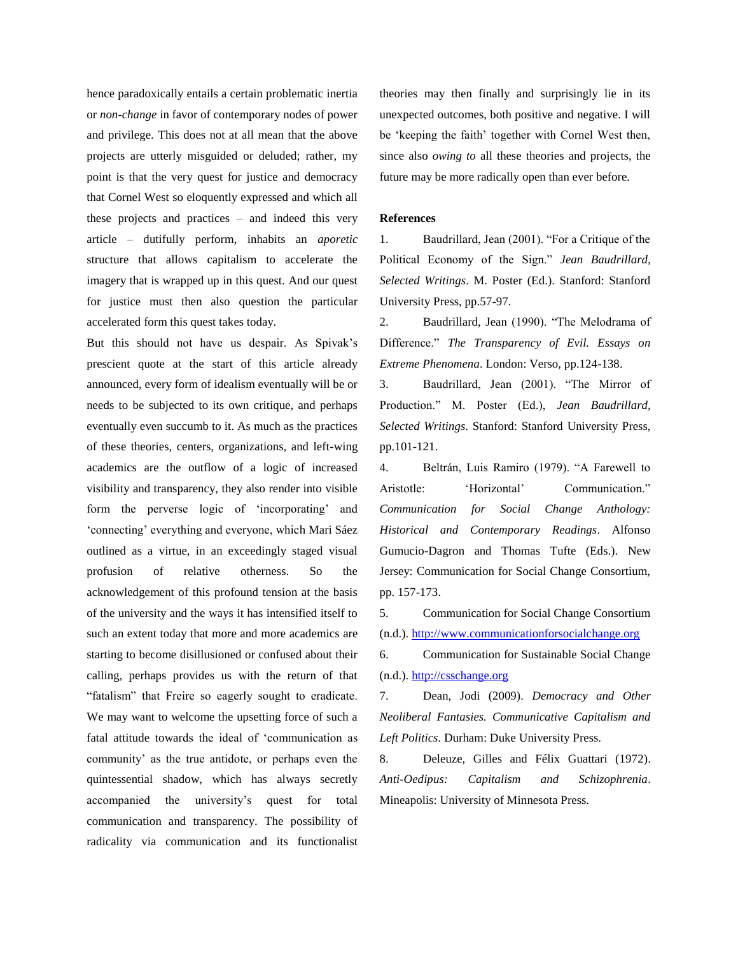hence paradoxically entails a certain problematic inertia or *non-change* in favor of contemporary nodes of power and privilege. This does not at all mean that the above projects are utterly misguided or deluded; rather, my point is that the very quest for justice and democracy that Cornel West so eloquently expressed and which all these projects and practices – and indeed this very article – dutifully perform, inhabits an *aporetic* structure that allows capitalism to accelerate the imagery that is wrapped up in this quest. And our quest for justice must then also question the particular accelerated form this quest takes today.

But this should not have us despair. As Spivak's prescient quote at the start of this article already announced, every form of idealism eventually will be or needs to be subjected to its own critique, and perhaps eventually even succumb to it. As much as the practices of these theories, centers, organizations, and left-wing academics are the outflow of a logic of increased visibility and transparency, they also render into visible form the perverse logic of 'incorporating' and 'connecting' everything and everyone, which Mari Sáez outlined as a virtue, in an exceedingly staged visual profusion of relative otherness. So the acknowledgement of this profound tension at the basis of the university and the ways it has intensified itself to such an extent today that more and more academics are starting to become disillusioned or confused about their calling, perhaps provides us with the return of that "fatalism" that Freire so eagerly sought to eradicate. We may want to welcome the upsetting force of such a fatal attitude towards the ideal of 'communication as community' as the true antidote, or perhaps even the quintessential shadow, which has always secretly accompanied the university's quest for total communication and transparency. The possibility of radicality via communication and its functionalist

theories may then finally and surprisingly lie in its unexpected outcomes, both positive and negative. I will be 'keeping the faith' together with Cornel West then, since also *owing to* all these theories and projects, the future may be more radically open than ever before.

### **References**

1. Baudrillard, Jean (2001). "For a Critique of the Political Economy of the Sign." *Jean Baudrillard, Selected Writings*. M. Poster (Ed.). Stanford: Stanford University Press, pp.57-97.

2. Baudrillard, Jean (1990). "The Melodrama of Difference." *The Transparency of Evil. Essays on Extreme Phenomena*. London: Verso, pp.124-138.

3. Baudrillard, Jean (2001). "The Mirror of Production." M. Poster (Ed.), *Jean Baudrillard, Selected Writings*. Stanford: Stanford University Press, pp.101-121.

4. Beltrán, Luis Ramiro (1979). "A Farewell to Aristotle: 'Horizontal' Communication." *Communication for Social Change Anthology: Historical and Contemporary Readings*. Alfonso Gumucio-Dagron and Thomas Tufte (Eds.). New Jersey: Communication for Social Change Consortium, pp. 157-173.

5. Communication for Social Change Consortium (n.d.)[. http://www.communicationforsocialchange.org](http://www.communicationforsocialchange.org/)

6. Communication for Sustainable Social Change (n.d.)[. http://csschange.org](http://csschange.org/)

7. Dean, Jodi (2009). *Democracy and Other Neoliberal Fantasies. Communicative Capitalism and Left Politics*. Durham: Duke University Press.

8. Deleuze, Gilles and Félix Guattari (1972). *Anti-Oedipus: Capitalism and Schizophrenia*. Mineapolis: University of Minnesota Press.